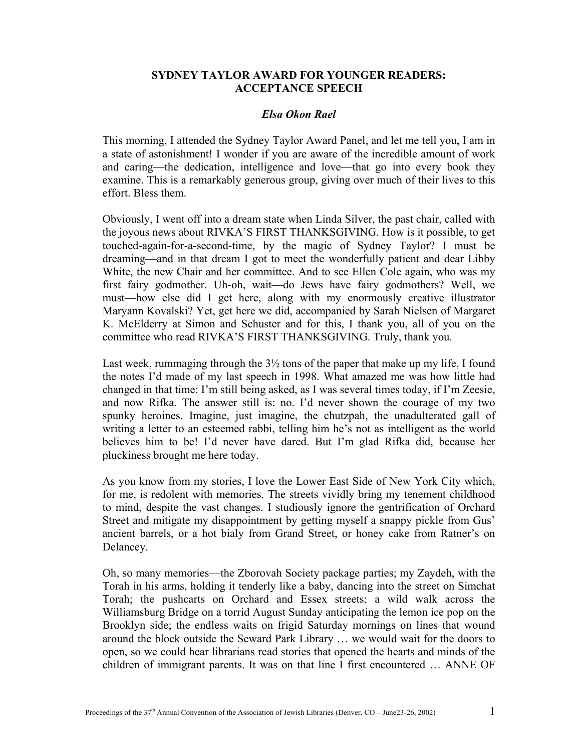## **SYDNEY TAYLOR AWARD FOR YOUNGER READERS: ACCEPTANCE SPEECH**

## *Elsa Okon Rael*

This morning, I attended the Sydney Taylor Award Panel, and let me tell you, I am in a state of astonishment! I wonder if you are aware of the incredible amount of work and caring—the dedication, intelligence and love—that go into every book they examine. This is a remarkably generous group, giving over much of their lives to this effort. Bless them.

Obviously, I went off into a dream state when Linda Silver, the past chair, called with the joyous news about RIVKA'S FIRST THANKSGIVING. How is it possible, to get touched-again-for-a-second-time, by the magic of Sydney Taylor? I must be dreaming—and in that dream I got to meet the wonderfully patient and dear Libby White, the new Chair and her committee. And to see Ellen Cole again, who was my first fairy godmother. Uh-oh, wait—do Jews have fairy godmothers? Well, we must—how else did I get here, along with my enormously creative illustrator Maryann Kovalski? Yet, get here we did, accompanied by Sarah Nielsen of Margaret K. McElderry at Simon and Schuster and for this, I thank you, all of you on the committee who read RIVKA'S FIRST THANKSGIVING. Truly, thank you.

Last week, rummaging through the  $3\frac{1}{2}$  tons of the paper that make up my life, I found the notes I'd made of my last speech in 1998. What amazed me was how little had changed in that time: I'm still being asked, as I was several times today, if I'm Zeesie, and now Rifka. The answer still is: no. I'd never shown the courage of my two spunky heroines. Imagine, just imagine, the chutzpah, the unadulterated gall of writing a letter to an esteemed rabbi, telling him he's not as intelligent as the world believes him to be! I'd never have dared. But I'm glad Rifka did, because her pluckiness brought me here today.

As you know from my stories, I love the Lower East Side of New York City which, for me, is redolent with memories. The streets vividly bring my tenement childhood to mind, despite the vast changes. I studiously ignore the gentrification of Orchard Street and mitigate my disappointment by getting myself a snappy pickle from Gus' ancient barrels, or a hot bialy from Grand Street, or honey cake from Ratner's on Delancey.

Oh, so many memories—the Zborovah Society package parties; my Zaydeh, with the Torah in his arms, holding it tenderly like a baby, dancing into the street on Simchat Torah; the pushcarts on Orchard and Essex streets; a wild walk across the Williamsburg Bridge on a torrid August Sunday anticipating the lemon ice pop on the Brooklyn side; the endless waits on frigid Saturday mornings on lines that wound around the block outside the Seward Park Library … we would wait for the doors to open, so we could hear librarians read stories that opened the hearts and minds of the children of immigrant parents. It was on that line I first encountered … ANNE OF